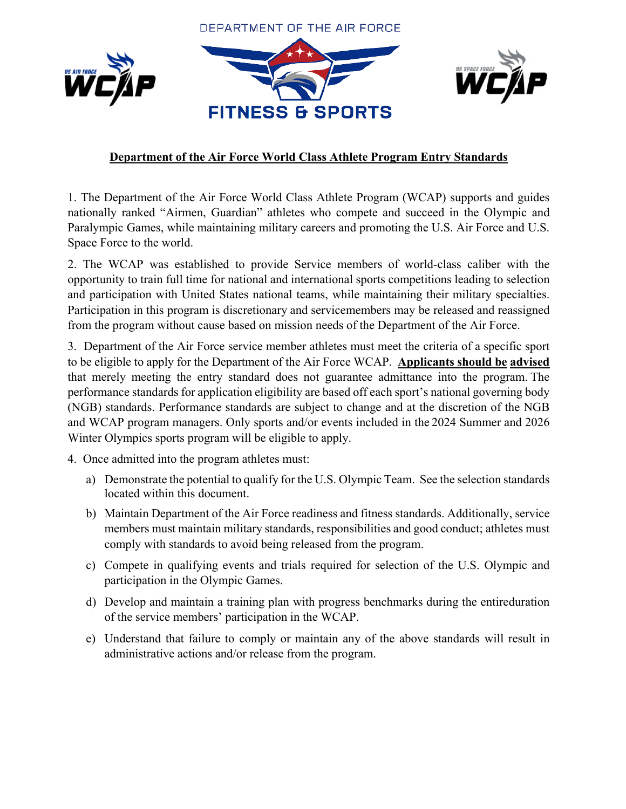DEPARTMENT OF THE AIR FORCE





# **Department of the Air Force World Class Athlete Program Entry Standards**

1. The Department of the Air Force World Class Athlete Program (WCAP) supports and guides nationally ranked "Airmen, Guardian" athletes who compete and succeed in the Olympic and Paralympic Games, while maintaining military careers and promoting the U.S. Air Force and U.S. Space Force to the world.

2. The WCAP was established to provide Service members of world-class caliber with the opportunity to train full time for national and international sports competitions leading to selection and participation with United States national teams, while maintaining their military specialties. Participation in this program is discretionary and servicemembers may be released and reassigned from the program without cause based on mission needs of the Department of the Air Force.

3. Department of the Air Force service member athletes must meet the criteria of a specific sport to be eligible to apply for the Department of the Air Force WCAP. **Applicants should be advised**  that merely meeting the entry standard does not guarantee admittance into the program. The performance standards for application eligibility are based off each sport's national governing body (NGB) standards. Performance standards are subject to change and at the discretion of the NGB and WCAP program managers. Only sports and/or events included in the 2024 Summer and 2026 Winter Olympics sports program will be eligible to apply.

4. Once admitted into the program athletes must:

- a) Demonstrate the potential to qualify for the U.S. Olympic Team. See the selection standards located within this document.
- b) Maintain Department of the Air Force readiness and fitness standards. Additionally, service members must maintain military standards, responsibilities and good conduct; athletes must comply with standards to avoid being released from the program.
- c) Compete in qualifying events and trials required for selection of the U.S. Olympic and participation in the Olympic Games.
- d) Develop and maintain a training plan with progress benchmarks during the entire duration of the service members' participation in the WCAP.
- e) Understand that failure to comply or maintain any of the above standards will result in administrative actions and/or release from the program.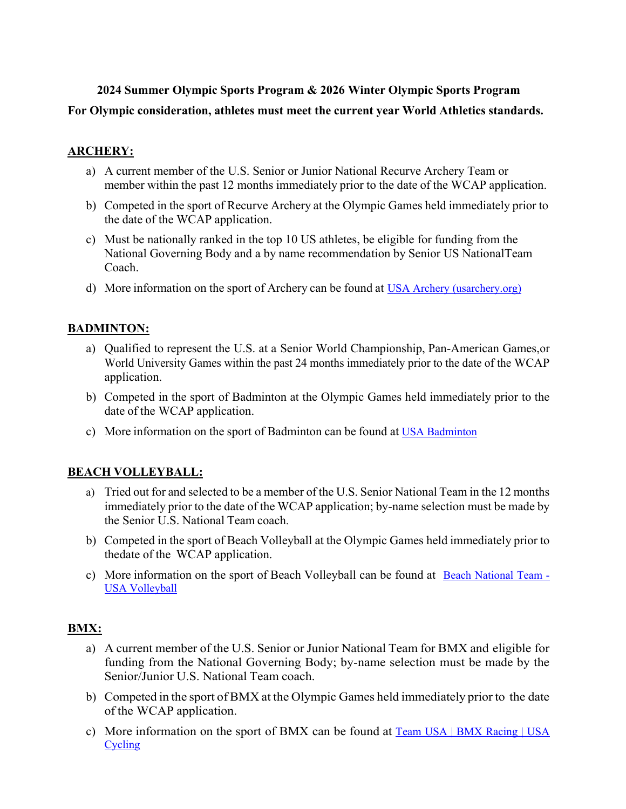# **2024 Summer Olympic Sports Program & 2026 Winter Olympic Sports Program For Olympic consideration, athletes must meet the current year World Athletics standards.**

## **ARCHERY:**

- a) A current member of the U.S. Senior or Junior National Recurve Archery Team or member within the past 12 months immediately prior to the date of the WCAP application.
- b) Competed in the sport of Recurve Archery at the Olympic Games held immediately prior to the date of the WCAP application.
- c) Must be nationally ranked in the top 10 US athletes, be eligible for funding from the National Governing Body and a by name recommendation by Senior US National Team Coach.
- d) More information on the sport of Archery can be found at [USA Archery \(usarchery.org\)](https://www.usarchery.org/)

## **BADMINTON:**

- a) Qualified to represent the U.S. at a Senior World Championship, Pan-American Games,or World University Games within the past 24 months immediately prior to the date of the WCAP application.
- b) Competed in the sport of Badminton at the Olympic Games held immediately prior to the date of the WCAP application.
- c) More information on the sport of Badminton can be found at [USA Badminton](https://usabadminton.org/)

#### **BEACH VOLLEYBALL:**

- a) Tried out for and selected to be a member of the U.S. Senior National Team in the 12 months immediately prior to the date of the WCAP application; by-name selection must be made by the Senior U.S. National Team coach.
- b) Competed in the sport of Beach Volleyball at the Olympic Games held immediately prior to the date of the WCAP application.
- c) More information on the sport of Beach Volleyball can be found at [Beach National Team](https://usavolleyball.org/beach-national-team/)  [USA Volleyball](https://usavolleyball.org/beach-national-team/)

# **BMX:**

- a) A current member of the U.S. Senior or Junior National Team for BMX and eligible for funding from the National Governing Body; by-name selection must be made by the Senior/Junior U.S. National Team coach.
- b) Competed in the sport of BMX at the Olympic Games held immediately prior to the date of the WCAP application.
- c) More information on the sport of BMX can be found at [Team USA | BMX Racing | USA](https://usacycling.org/team-usa/bmx)  [Cycling](https://usacycling.org/team-usa/bmx)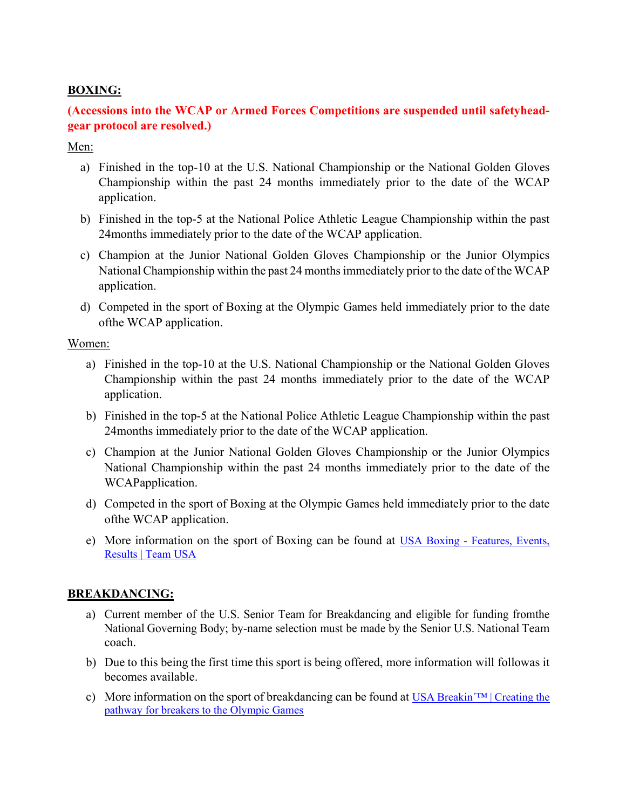#### **BOXING:**

# **(Accessions into the WCAP or Armed Forces Competitions are suspended until safetyheadgear protocol are resolved.)**

#### Men:

- a) Finished in the top-10 at the U.S. National Championship or the National Golden Gloves Championship within the past 24 months immediately prior to the date of the WCAP application.
- b) Finished in the top-5 at the National Police Athletic League Championship within the past 24 months immediately prior to the date of the WCAP application.
- c) Champion at the Junior National Golden Gloves Championship or the Junior Olympics National Championship within the past 24 months immediately prior to the date of the WCAP application.
- d) Competed in the sport of Boxing at the Olympic Games held immediately prior to the date of the WCAP application.

#### Women:

- a) Finished in the top-10 at the U.S. National Championship or the National Golden Gloves Championship within the past 24 months immediately prior to the date of the WCAP application.
- b) Finished in the top-5 at the National Police Athletic League Championship within the past 24 months immediately prior to the date of the WCAP application.
- c) Champion at the Junior National Golden Gloves Championship or the Junior Olympics National Championship within the past 24 months immediately prior to the date of the WCAP application.
- d) Competed in the sport of Boxing at the Olympic Games held immediately prior to the date of the WCAP application.
- e) More information on the sport of Boxing can be found at [USA Boxing Features, Events,](https://www.teamusa.org/usa-boxing)  [Results | Team USA](https://www.teamusa.org/usa-boxing)

#### **BREAKDANCING:**

- a) Current member of the U.S. Senior Team for Breakdancing and eligible for funding from the National Governing Body; by-name selection must be made by the Senior U.S. National Team coach.
- b) Due to this being the first time this sport is being offered, more information will followas it becomes available.
- c) More information on the sport of breakdancing can be found at USA Breakin $T^M$  Creating the [pathway for breakers to the Olympic Games](https://www.usabreakin.org/)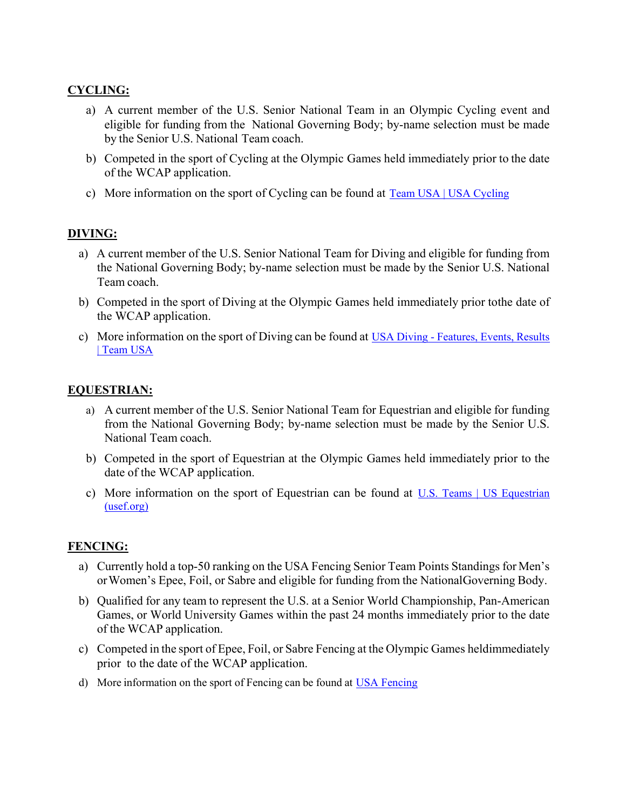#### **CYCLING:**

- a) A current member of the U.S. Senior National Team in an Olympic Cycling event and eligible for funding from the National Governing Body; by-name selection must be made by the Senior U.S. National Team coach.
- b) Competed in the sport of Cycling at the Olympic Games held immediately prior to the date of the WCAP application.
- c) More information on the sport of Cycling can be found at [Team USA | USA Cycling](https://usacycling.org/team-usa)

#### **DIVING:**

- a) A current member of the U.S. Senior National Team for Diving and eligible for funding from the National Governing Body; by-name selection must be made by the Senior U.S. National Team coach.
- b) Competed in the sport of Diving at the Olympic Games held immediately prior to the date of the WCAP application.
- c) More information on the sport of Diving can be found at [USA Diving Features, Events, Results](https://www.teamusa.org/usa-diving)  [| Team USA](https://www.teamusa.org/usa-diving)

#### **EQUESTRIAN:**

- a) A current member of the U.S. Senior National Team for Equestrian and eligible for funding from the National Governing Body; by-name selection must be made by the Senior U.S. National Team coach.
- b) Competed in the sport of Equestrian at the Olympic Games held immediately prior to the date of the WCAP application.
- c) More information on the sport of Equestrian can be found at [U.S. Teams | US Equestrian](https://www.usef.org/team-usa/teams)  [\(usef.org\)](https://www.usef.org/team-usa/teams)

#### **FENCING:**

- a) Currently hold a top-50 ranking on the USA Fencing Senior Team Points Standings for Men's orWomen's Epee, Foil, or Sabre and eligible for funding from the National Governing Body.
- b) Qualified for any team to represent the U.S. at a Senior World Championship, Pan-American Games, or World University Games within the past 24 months immediately prior to the date of the WCAP application.
- c) Competed in the sport of Epee, Foil, or Sabre Fencing at the Olympic Games held immediately prior to the date of the WCAP application.
- d) More information on the sport of Fencing can be found at [USA Fencing](https://www.usafencing.org/home)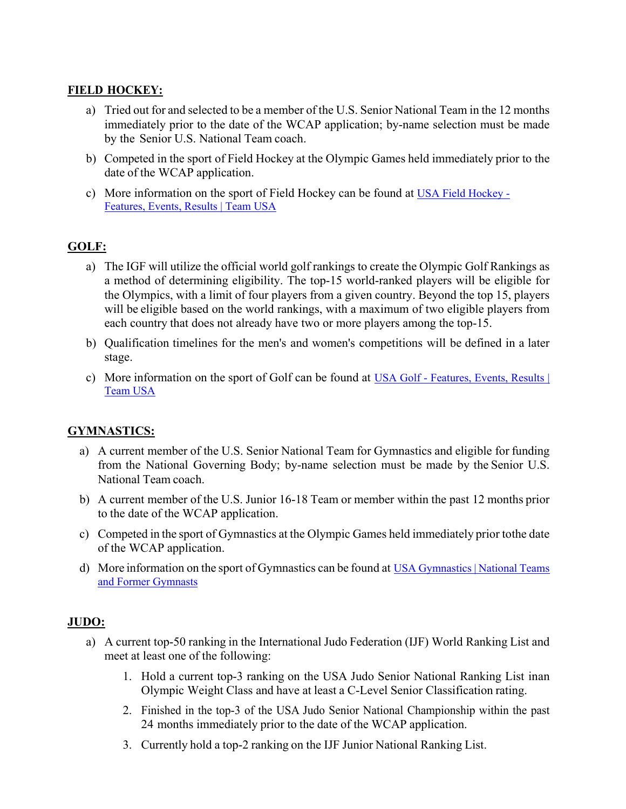#### **FIELD HOCKEY:**

- a) Tried out for and selected to be a member of the U.S. Senior National Team in the 12 months immediately prior to the date of the WCAP application; by-name selection must be made by the Senior U.S. National Team coach.
- b) Competed in the sport of Field Hockey at the Olympic Games held immediately prior to the date of the WCAP application.
- c) More information on the sport of Field Hockey can be found at [USA Field Hockey](https://www.teamusa.org/usa-field-hockey)  [Features, Events, Results | Team USA](https://www.teamusa.org/usa-field-hockey)

#### **GOLF:**

- a) The IGF will utilize the official world golf rankings to create the Olympic Golf Rankings as a method of determining eligibility. The top-15 world-ranked players will be eligible for the Olympics, with a limit of four players from a given country. Beyond the top 15, players will be eligible based on the world rankings, with a maximum of two eligible players from each country that does not already have two or more players among the top-15.
- b) Qualification timelines for the men's and women's competitions will be defined in a later stage.
- c) More information on the sport of Golf can be found at [USA Golf Features, Events, Results |](https://www.teamusa.org/usa-golf)  [Team USA](https://www.teamusa.org/usa-golf)

#### **GYMNASTICS:**

- a) A current member of the U.S. Senior National Team for Gymnastics and eligible for funding from the National Governing Body; by-name selection must be made by the Senior U.S. National Team coach.
- b) A current member of the U.S. Junior 16-18 Team or member within the past 12 months prior to the date of the WCAP application.
- c) Competed in the sport of Gymnastics at the Olympic Games held immediately prior tothe date of the WCAP application.
- d) More information on the sport of Gymnastics can be found at [USA Gymnastics | National Teams](https://usagym.org/pages/home/nationalteams/national_teams.html)  [and Former Gymnasts](https://usagym.org/pages/home/nationalteams/national_teams.html)

#### **JUDO:**

- a) A current top-50 ranking in the International Judo Federation (IJF) World Ranking List and meet at least one of the following:
	- 1. Hold a current top-3 ranking on the USA Judo Senior National Ranking List inan Olympic Weight Class and have at least a C-Level Senior Classification rating.
	- 2. Finished in the top-3 of the USA Judo Senior National Championship within the past 24 months immediately prior to the date of the WCAP application.
	- 3. Currently hold a top-2 ranking on the IJF Junior National Ranking List.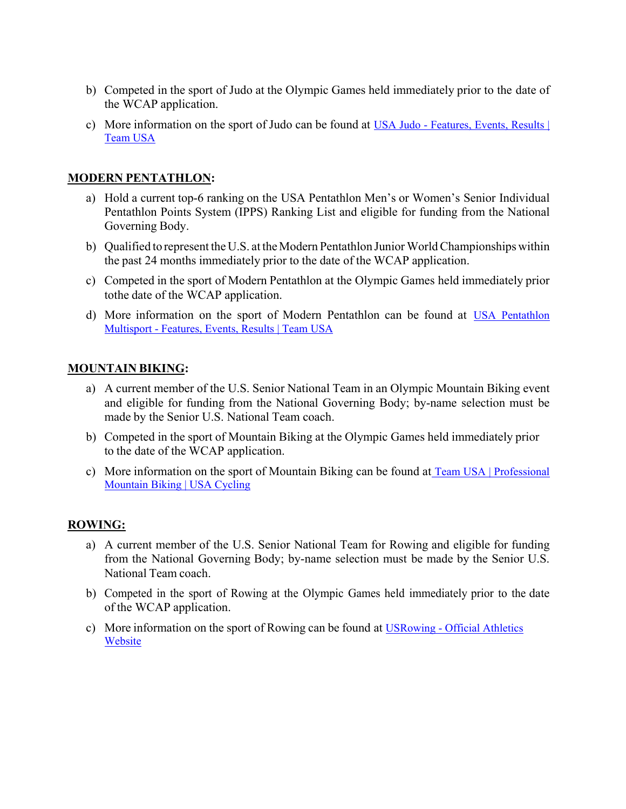- b) Competed in the sport of Judo at the Olympic Games held immediately prior to the date of the WCAP application.
- c) More information on the sport of Judo can be found at [USA Judo Features, Events, Results |](https://www.teamusa.org/usa-judo)  [Team USA](https://www.teamusa.org/usa-judo)

## **MODERN PENTATHLON:**

- a) Hold a current top-6 ranking on the USA Pentathlon Men's or Women's Senior Individual Pentathlon Points System (IPPS) Ranking List and eligible for funding from the National Governing Body.
- b) Qualified to represent the U.S. at the Modern Pentathlon Junior World Championships within the past 24 months immediately prior to the date of the WCAP application.
- c) Competed in the sport of Modern Pentathlon at the Olympic Games held immediately prior to the date of the WCAP application.
- d) More information on the sport of Modern Pentathlon can be found at [USA Pentathlon](https://www.teamusa.org/usa-modern-pentathlon)  [Multisport - Features, Events, Results | Team USA](https://www.teamusa.org/usa-modern-pentathlon)

#### **MOUNTAIN BIKING:**

- a) A current member of the U.S. Senior National Team in an Olympic Mountain Biking event and eligible for funding from the National Governing Body; by-name selection must be made by the Senior U.S. National Team coach.
- b) Competed in the sport of Mountain Biking at the Olympic Games held immediately prior to the date of the WCAP application.
- c) More information on the sport of Mountain Biking can be found at [Team USA | Professional](https://usacycling.org/team-usa/mountain-bike)  [Mountain Biking | USA Cycling](https://usacycling.org/team-usa/mountain-bike)

# **ROWING:**

- a) A current member of the U.S. Senior National Team for Rowing and eligible for funding from the National Governing Body; by-name selection must be made by the Senior U.S. National Team coach.
- b) Competed in the sport of Rowing at the Olympic Games held immediately prior to the date of the WCAP application.
- c) More information on the sport of Rowing can be found at USRowing Official Athletics [Website](https://usrowing.org/index.aspx)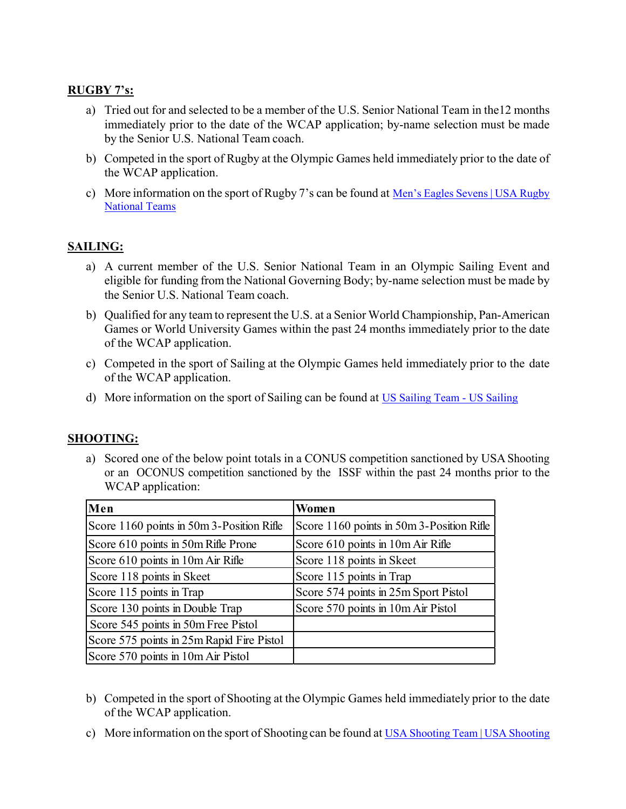## **RUGBY 7's:**

- a) Tried out for and selected to be a member of the U.S. Senior National Team in the 12 months immediately prior to the date of the WCAP application; by-name selection must be made by the Senior U.S. National Team coach.
- b) Competed in the sport of Rugby at the Olympic Games held immediately prior to the date of the WCAP application.
- c) More information on the sport of Rugby 7's can be found at Men's Eagles Sevens | USA Rugby [National Teams](https://www.usa.rugby/mens-eagles-sevens/)

## **SAILING:**

- a) A current member of the U.S. Senior National Team in an Olympic Sailing Event and eligible for funding from the National Governing Body; by-name selection must be made by the Senior U.S. National Team coach.
- b) Qualified for any team to represent the U.S. at a Senior World Championship, Pan-American Games or World University Games within the past 24 months immediately prior to the date of the WCAP application.
- c) Competed in the sport of Sailing at the Olympic Games held immediately prior to the date of the WCAP application.
- d) More information on the sport of Sailing can be found at [US Sailing Team US Sailing](https://www.ussailing.org/olympics/teams/)

# **SHOOTING:**

a) Scored one of the below point totals in a CONUS competition sanctioned by USA Shooting or an OCONUS competition sanctioned by the ISSF within the past 24 months prior to the WCAP application:

| Men                                       | Women                                     |
|-------------------------------------------|-------------------------------------------|
| Score 1160 points in 50m 3-Position Rifle | Score 1160 points in 50m 3-Position Rifle |
| Score 610 points in 50m Rifle Prone       | Score 610 points in 10m Air Rifle         |
| Score 610 points in 10m Air Rifle         | Score 118 points in Skeet                 |
| Score 118 points in Skeet                 | Score 115 points in Trap                  |
| Score 115 points in Trap                  | Score 574 points in 25m Sport Pistol      |
| Score 130 points in Double Trap           | Score 570 points in 10m Air Pistol        |
| Score 545 points in 50m Free Pistol       |                                           |
| Score 575 points in 25m Rapid Fire Pistol |                                           |
| Score 570 points in 10m Air Pistol        |                                           |

- b) Competed in the sport of Shooting at the Olympic Games held immediately prior to the date of the WCAP application.
- c) More information on the sport of Shooting can be found at [USA Shooting Team | USA Shooting](https://www.usashooting.org/)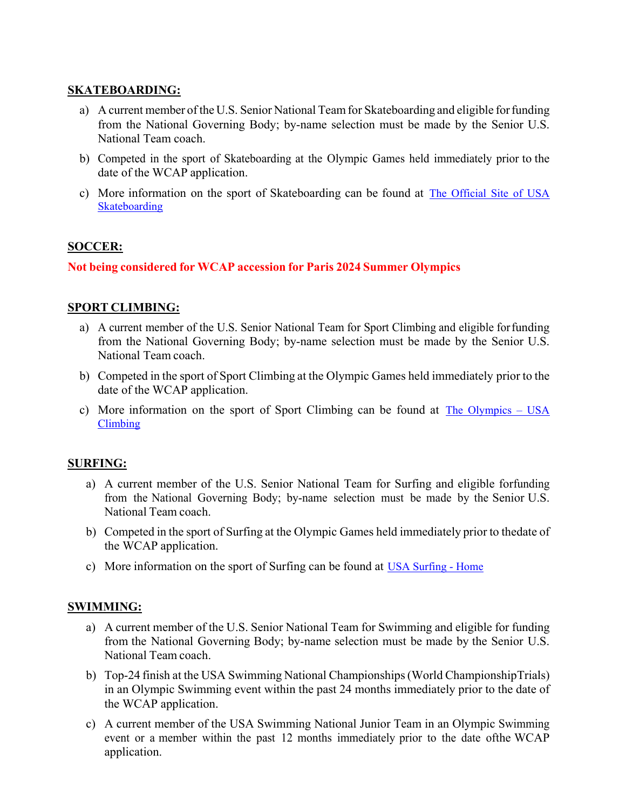#### **SKATEBOARDING:**

- a) A current member of the U.S. Senior National Teamfor Skateboarding and eligible for funding from the National Governing Body; by-name selection must be made by the Senior U.S. National Team coach.
- b) Competed in the sport of Skateboarding at the Olympic Games held immediately prior to the date of the WCAP application.
- c) More information on the sport of Skateboarding can be found at [The Official Site of USA](https://usaskateboarding.com/)  [Skateboarding](https://usaskateboarding.com/)

#### **SOCCER:**

#### **Not being considered for WCAP accession for Paris 2024 Summer Olympics**

#### **SPORT CLIMBING:**

- a) A current member of the U.S. Senior National Team for Sport Climbing and eligible for funding from the National Governing Body; by-name selection must be made by the Senior U.S. National Team coach.
- b) Competed in the sport of Sport Climbing at the Olympic Games held immediately prior to the date of the WCAP application.
- c) More information on the sport of Sport Climbing can be found at [The Olympics USA](https://usaclimbing.org/the-olympics/)  [Climbing](https://usaclimbing.org/the-olympics/)

#### **SURFING:**

- a) A current member of the U.S. Senior National Team for Surfing and eligible forfunding from the National Governing Body; by-name selection must be made by the Senior U.S. National Team coach.
- b) Competed in the sport of Surfing at the Olympic Games held immediately prior to the date of the WCAP application.
- c) More information on the sport of Surfing can be found at [USA Surfing Home](https://www.usasurfing.org/)

#### **SWIMMING:**

- a) A current member of the U.S. Senior National Team for Swimming and eligible for funding from the National Governing Body; by-name selection must be made by the Senior U.S. National Team coach.
- b) Top-24 finish at the USA Swimming National Championships (World Championship Trials) in an Olympic Swimming event within the past 24 months immediately prior to the date of the WCAP application.
- c) A current member of the USA Swimming National Junior Team in an Olympic Swimming event or a member within the past 12 months immediately prior to the date of the WCAP application.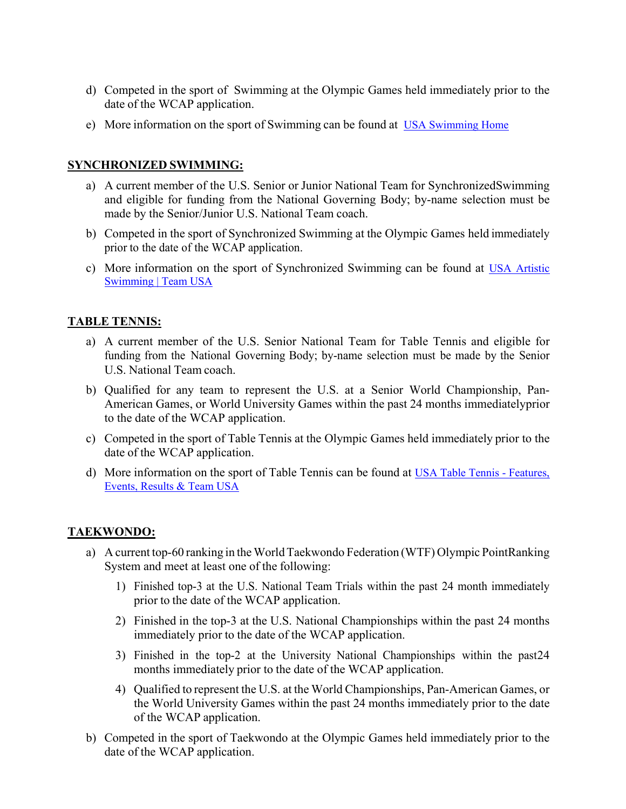- d) Competed in the sport of Swimming at the Olympic Games held immediately prior to the date of the WCAP application.
- e) More information on the sport of Swimming can be found at [USA Swimming Home](https://www.usaswimming.org/)

#### **SYNCHRONIZED SWIMMING:**

- a) A current member of the U.S. Senior or Junior National Team for Synchronized Swimming and eligible for funding from the National Governing Body; by-name selection must be made by the Senior/Junior U.S. National Team coach.
- b) Competed in the sport of Synchronized Swimming at the Olympic Games held immediately prior to the date of the WCAP application.
- c) More information on the sport of Synchronized Swimming can be found at [USA Artistic](https://www.teamusa.org/USA-Artistic-Swimming)  [Swimming | Team USA](https://www.teamusa.org/USA-Artistic-Swimming)

## **TABLE TENNIS:**

- a) A current member of the U.S. Senior National Team for Table Tennis and eligible for funding from the National Governing Body; by-name selection must be made by the Senior U.S. National Team coach.
- b) Qualified for any team to represent the U.S. at a Senior World Championship, Pan-American Games, or World University Games within the past 24 months immediatelyprior to the date of the WCAP application.
- c) Competed in the sport of Table Tennis at the Olympic Games held immediately prior to the date of the WCAP application.
- d) More information on the sport of Table Tennis can be found at [USA Table Tennis Features,](https://www.teamusa.org/usa-table-tennis)  [Events, Results & Team USA](https://www.teamusa.org/usa-table-tennis)

# **TAEKWONDO:**

- a) A current top-60 ranking in the World Taekwondo Federation (WTF) Olympic Point Ranking System and meet at least one of the following:
	- 1) Finished top-3 at the U.S. National Team Trials within the past 24 month immediately prior to the date of the WCAP application.
	- 2) Finished in the top-3 at the U.S. National Championships within the past 24 months immediately prior to the date of the WCAP application.
	- 3) Finished in the top-2 at the University National Championships within the past 24 months immediately prior to the date of the WCAP application.
	- 4) Qualified to represent the U.S. at the World Championships, Pan-American Games, or the World University Games within the past 24 months immediately prior to the date of the WCAP application.
- b) Competed in the sport of Taekwondo at the Olympic Games held immediately prior to the date of the WCAP application.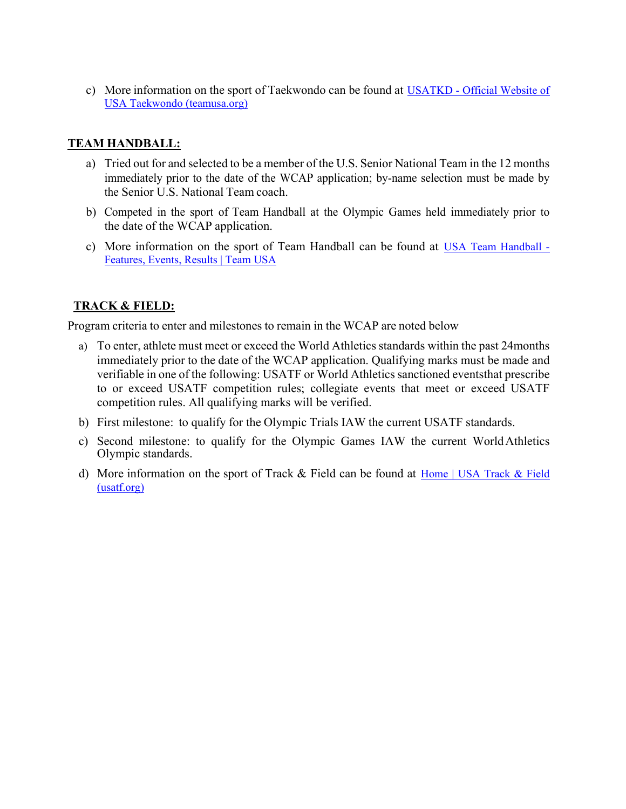c) More information on the sport of Taekwondo can be found at [USATKD - Official Website of](https://www.teamusa.org/USA-Taekwondo?gclsrc=aw.ds&gclid=EAIaIQobChMI5JzZ8s-q9gIVGaSzCh1vLg30EAAYASAAEgIT6fD_BwE&gclsrc=aw.ds)  [USA Taekwondo \(teamusa.org\)](https://www.teamusa.org/USA-Taekwondo?gclsrc=aw.ds&gclid=EAIaIQobChMI5JzZ8s-q9gIVGaSzCh1vLg30EAAYASAAEgIT6fD_BwE&gclsrc=aw.ds)

## **TEAM HANDBALL:**

- a) Tried out for and selected to be a member of the U.S. Senior National Team in the 12 months immediately prior to the date of the WCAP application; by-name selection must be made by the Senior U.S. National Team coach.
- b) Competed in the sport of Team Handball at the Olympic Games held immediately prior to the date of the WCAP application.
- c) More information on the sport of Team Handball can be found at [USA Team Handball](https://www.teamusa.org/usa-team-handball)  [Features, Events, Results | Team USA](https://www.teamusa.org/usa-team-handball)

# **TRACK & FIELD:**

Program criteria to enter and milestones to remain in the WCAP are noted below

- a) To enter, athlete must meet or exceed the World Athletics standards within the past 24 months immediately prior to the date of the WCAP application. Qualifying marks must be made and verifiable in one of the following: USATF or World Athletics sanctioned eventsthat prescribe to or exceed USATF competition rules; collegiate events that meet or exceed USATF competition rules. All qualifying marks will be verified.
- b) First milestone: to qualify for the Olympic Trials IAW the current USATF standards.
- c) Second milestone: to qualify for the Olympic Games IAW the current WorldAthletics Olympic standards.
- d) More information on the sport of Track & Field can be found at [Home | USA Track & Field](https://www.usatf.org/)  [\(usatf.org\)](https://www.usatf.org/)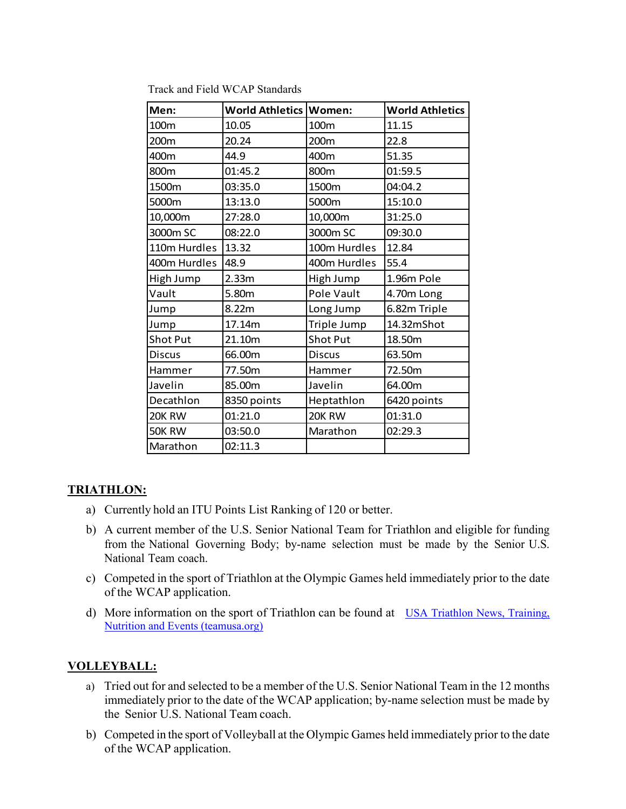| Men:            | World Athletics   Women: |               | <b>World Athletics</b> |
|-----------------|--------------------------|---------------|------------------------|
| 100m            | 10.05                    | 100m          | 11.15                  |
| 200m            | 20.24                    | 200m          | 22.8                   |
| 400m            | 44.9                     | 400m          | 51.35                  |
| 800m            | 01:45.2                  | 800m          | 01:59.5                |
| 1500m           | 03:35.0                  | 1500m         | 04:04.2                |
| 5000m           | 13:13.0                  | 5000m         | 15:10.0                |
| 10,000m         | 27:28.0                  | 10,000m       | 31:25.0                |
| 3000m SC        | 08:22.0                  | 3000m SC      | 09:30.0                |
| 110m Hurdles    | 13.32                    | 100m Hurdles  | 12.84                  |
| 400m Hurdles    | 48.9                     | 400m Hurdles  | 55.4                   |
| High Jump       | 2.33m                    | High Jump     | 1.96m Pole             |
| Vault           | 5.80m                    | Pole Vault    | 4.70m Long             |
| Jump            | 8.22m                    | Long Jump     | 6.82m Triple           |
| Jump            | 17.14m                   | Triple Jump   | 14.32mShot             |
| <b>Shot Put</b> | 21.10m                   | Shot Put      | 18.50m                 |
| <b>Discus</b>   | 66.00m                   | <b>Discus</b> | 63.50m                 |
| Hammer          | 77.50m                   | Hammer        | 72.50m                 |
| Javelin         | 85.00m                   | Javelin       | 64.00m                 |
| Decathlon       | 8350 points              | Heptathlon    | 6420 points            |
| 20K RW          | 01:21.0                  | 20K RW        | 01:31.0                |
| 50K RW          | 03:50.0                  | Marathon      | 02:29.3                |
| Marathon        | 02:11.3                  |               |                        |

Track and Field WCAP Standards

#### **TRIATHLON:**

- a) Currently hold an ITU Points List Ranking of 120 or better.
- b) A current member of the U.S. Senior National Team for Triathlon and eligible for funding from the National Governing Body; by-name selection must be made by the Senior U.S. National Team coach.
- c) Competed in the sport of Triathlon at the Olympic Games held immediately prior to the date of the WCAP application.
- d) More information on the sport of Triathlon can be found at USA Triathlon News, Training, [Nutrition and Events \(teamusa.org\)](https://www.teamusa.org/USA-Triathlon)

#### **VOLLEYBALL:**

- a) Tried out for and selected to be a member of the U.S. Senior National Team in the 12 months immediately prior to the date of the WCAP application; by-name selection must be made by the Senior U.S. National Team coach.
- b) Competed in the sport of Volleyball at the Olympic Games held immediately prior to the date of the WCAP application.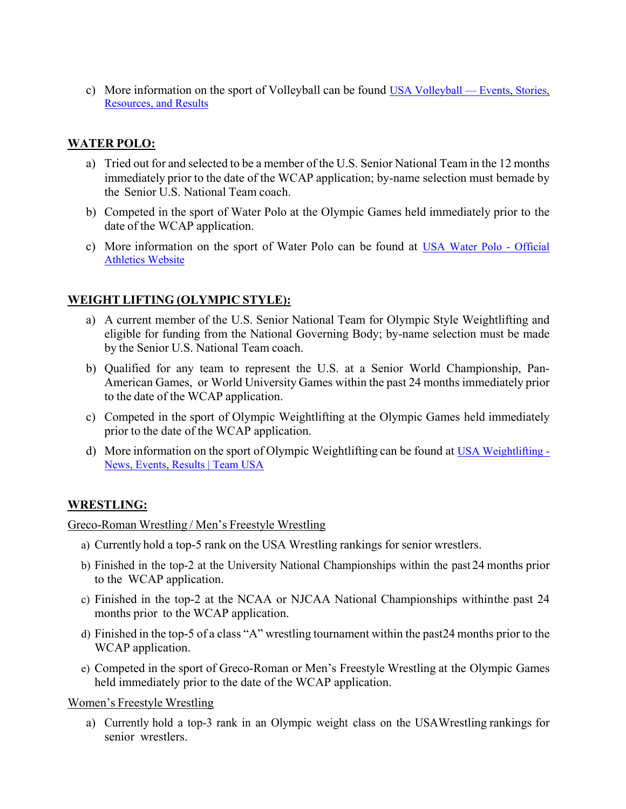c) More information on the sport of Volleyball can be found [USA Volleyball — Events, Stories,](https://usavolleyball.org/)  [Resources, and Results](https://usavolleyball.org/)

## **WATER POLO:**

- a) Tried out for and selected to be a member of the U.S. Senior National Team in the 12 months immediately prior to the date of the WCAP application; by-name selection must bemade by the Senior U.S. National Team coach.
- b) Competed in the sport of Water Polo at the Olympic Games held immediately prior to the date of the WCAP application.
- c) More information on the sport of Water Polo can be found at [USA Water Polo Official](https://usawaterpolo.org/)  [Athletics Website](https://usawaterpolo.org/)

## **WEIGHT LIFTING (OLYMPIC STYLE):**

- a) A current member of the U.S. Senior National Team for Olympic Style Weightlifting and eligible for funding from the National Governing Body; by-name selection must be made by the Senior U.S. National Team coach.
- b) Qualified for any team to represent the U.S. at a Senior World Championship, Pan-American Games, or World University Games within the past 24 months immediately prior to the date of the WCAP application.
- c) Competed in the sport of Olympic Weightlifting at the Olympic Games held immediately prior to the date of the WCAP application.
- d) More information on the sport of Olympic Weightlifting can be found at [USA Weightlifting](https://www.teamusa.org/USA-Weightlifting?gclsrc=aw.ds&gclid=EAIaIQobChMI0Izhq9Gq9gIVhbLICh3F4gRdEAAYASAAEgJ72vD_BwE&gclsrc=aw.ds)  [News, Events, Results | Team USA](https://www.teamusa.org/USA-Weightlifting?gclsrc=aw.ds&gclid=EAIaIQobChMI0Izhq9Gq9gIVhbLICh3F4gRdEAAYASAAEgJ72vD_BwE&gclsrc=aw.ds)

#### **WRESTLING:**

Greco-Roman Wrestling / Men's Freestyle Wrestling

- a) Currently hold a top-5 rank on the USA Wrestling rankings for senior wrestlers.
- b) Finished in the top-2 at the University National Championships within the past 24 months prior to the WCAP application.
- c) Finished in the top-2 at the NCAA or NJCAA National Championships within the past 24 months prior to the WCAP application.
- d) Finished in the top-5 of a class "A" wrestling tournament within the past 24 months prior to the WCAP application.
- e) Competed in the sport of Greco-Roman or Men's Freestyle Wrestling at the Olympic Games held immediately prior to the date of the WCAP application.

Women's Freestyle Wrestling

a) Currently hold a top-3 rank in an Olympic weight class on the USAWrestling rankings for senior wrestlers.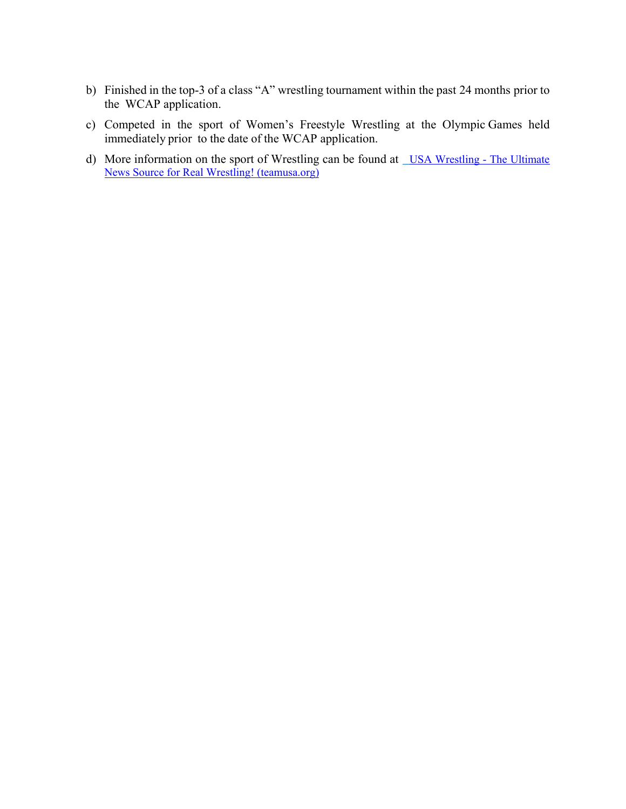- b) Finished in the top-3 of a class "A" wrestling tournament within the past 24 months prior to the WCAP application.
- c) Competed in the sport of Women's Freestyle Wrestling at the Olympic Games held immediately prior to the date of the WCAP application.
- d) More information on the sport of Wrestling can be found at <u>USA Wrestling The Ultimate</u> [News Source for Real Wrestling! \(teamusa.org\)](https://www.teamusa.org/USA-Wrestling?gclsrc=aw.ds&gclid=EAIaIQobChMIy6SMv9Gq9gIVSpyzCh0LyAvcEAAYASAAEgLmN_D_BwE&gclsrc=aw.ds)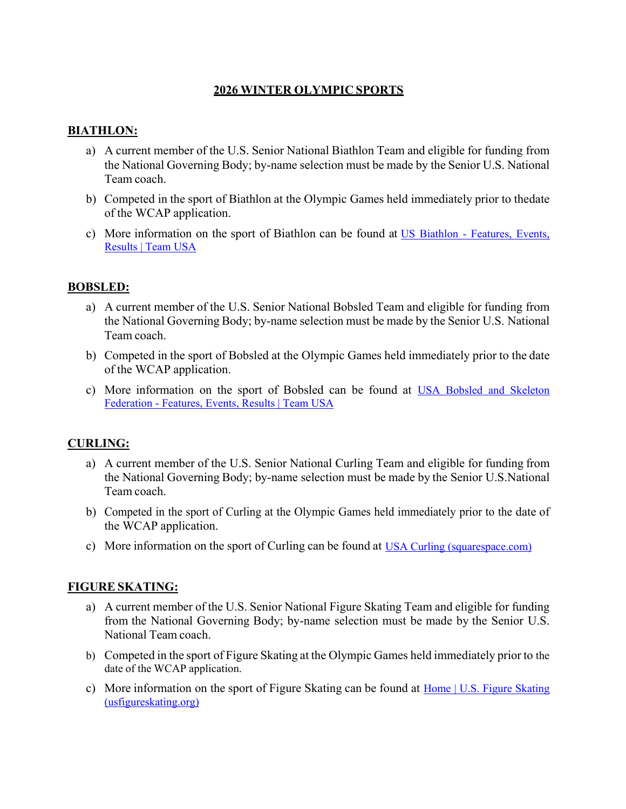## **2026 WINTER OLYMPIC SPORTS**

## **BIATHLON:**

- a) A current member of the U.S. Senior National Biathlon Team and eligible for funding from the National Governing Body; by-name selection must be made by the Senior U.S. National Team coach.
- b) Competed in the sport of Biathlon at the Olympic Games held immediately prior to the date of the WCAP application.
- c) More information on the sport of Biathlon can be found at [US Biathlon Features, Events,](https://www.teamusa.org/us-biathlon)  [Results | Team USA](https://www.teamusa.org/us-biathlon)

#### **BOBSLED:**

- a) A current member of the U.S. Senior National Bobsled Team and eligible for funding from the National Governing Body; by-name selection must be made by the Senior U.S. National Team coach.
- b) Competed in the sport of Bobsled at the Olympic Games held immediately prior to the date of the WCAP application.
- c) More information on the sport of Bobsled can be found at [USA Bobsled and Skeleton](https://www.teamusa.org/usa-bobsled-skeleton-federation)  [Federation - Features, Events, Results | Team USA](https://www.teamusa.org/usa-bobsled-skeleton-federation)

#### **CURLING:**

- a) A current member of the U.S. Senior National Curling Team and eligible for funding from the National Governing Body; by-name selection must be made by the Senior U.S. National Team coach.
- b) Competed in the sport of Curling at the Olympic Games held immediately prior to the date of the WCAP application.
- c) More information on the sport of Curling can be found at [USA Curling \(squarespace.com\)](https://watermelon-seahorse-hzzt.squarespace.com/)

#### **FIGURE SKATING:**

- a) A current member of the U.S. Senior National Figure Skating Team and eligible for funding from the National Governing Body; by-name selection must be made by the Senior U.S. National Team coach.
- b) Competed in the sport of Figure Skating at the Olympic Games held immediately prior to the date of the WCAP application.
- c) More information on the sport of Figure Skating can be found at Home | U.S. Figure Skating [\(usfigureskating.org\)](https://www.usfigureskating.org/)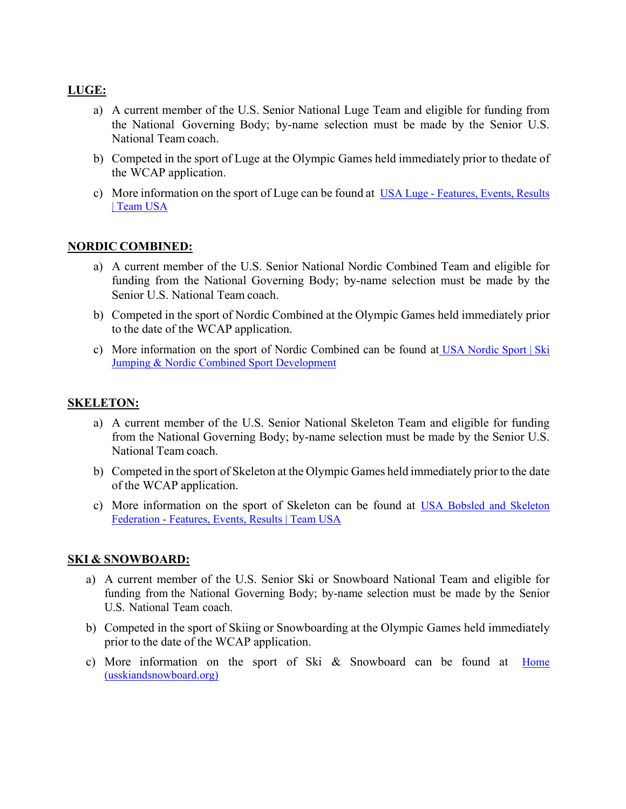## **LUGE:**

- a) A current member of the U.S. Senior National Luge Team and eligible for funding from the National Governing Body; by-name selection must be made by the Senior U.S. National Team coach.
- b) Competed in the sport of Luge at the Olympic Games held immediately prior to thedate of the WCAP application.
- c) More information on the sport of Luge can be found at [USA Luge Features, Events, Results](https://www.teamusa.org/usa-luge)  [| Team USA](https://www.teamusa.org/usa-luge)

#### **NORDIC COMBINED:**

- a) A current member of the U.S. Senior National Nordic Combined Team and eligible for funding from the National Governing Body; by-name selection must be made by the Senior U.S. National Team coach.
- b) Competed in the sport of Nordic Combined at the Olympic Games held immediately prior to the date of the WCAP application.
- c) More information on the sport of Nordic Combined can be found at [USA Nordic Sport | Ski](https://usanordic.org/)  [Jumping & Nordic Combined Sport Development](https://usanordic.org/)

#### **SKELETON:**

- a) A current member of the U.S. Senior National Skeleton Team and eligible for funding from the National Governing Body; by-name selection must be made by the Senior U.S. National Team coach.
- b) Competed in the sport of Skeleton at the Olympic Games held immediately prior to the date of the WCAP application.
- c) More information on the sport of Skeleton can be found at [USA Bobsled and Skeleton](https://www.teamusa.org/usa-bobsled-skeleton-federation)  [Federation - Features, Events, Results | Team USA](https://www.teamusa.org/usa-bobsled-skeleton-federation)

#### **SKI & SNOWBOARD:**

- a) A current member of the U.S. Senior Ski or Snowboard National Team and eligible for funding from the National Governing Body; by-name selection must be made by the Senior U.S. National Team coach.
- b) Competed in the sport of Skiing or Snowboarding at the Olympic Games held immediately prior to the date of the WCAP application.
- c) More information on the sport of Ski & Snowboard can be found at Home [\(usskiandsnowboard.org\)](http://usskiandsnowboard.org/)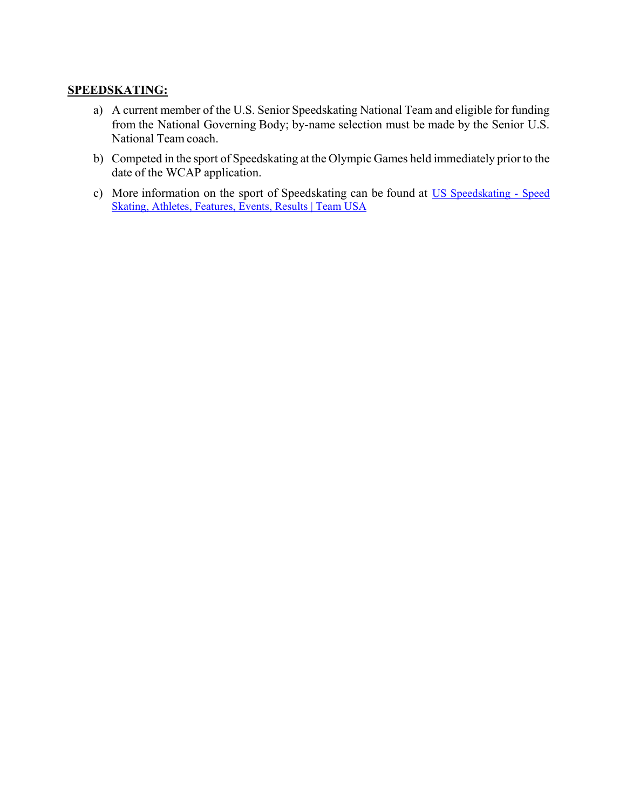#### **SPEEDSKATING:**

- a) A current member of the U.S. Senior Speedskating National Team and eligible for funding from the National Governing Body; by-name selection must be made by the Senior U.S. National Team coach.
- b) Competed in the sport of Speedskating at the Olympic Games held immediately priorto the date of the WCAP application.
- c) More information on the sport of Speedskating can be found at [US Speedskating Speed](https://www.teamusa.org/us-speedskating)  [Skating, Athletes, Features, Events, Results | Team USA](https://www.teamusa.org/us-speedskating)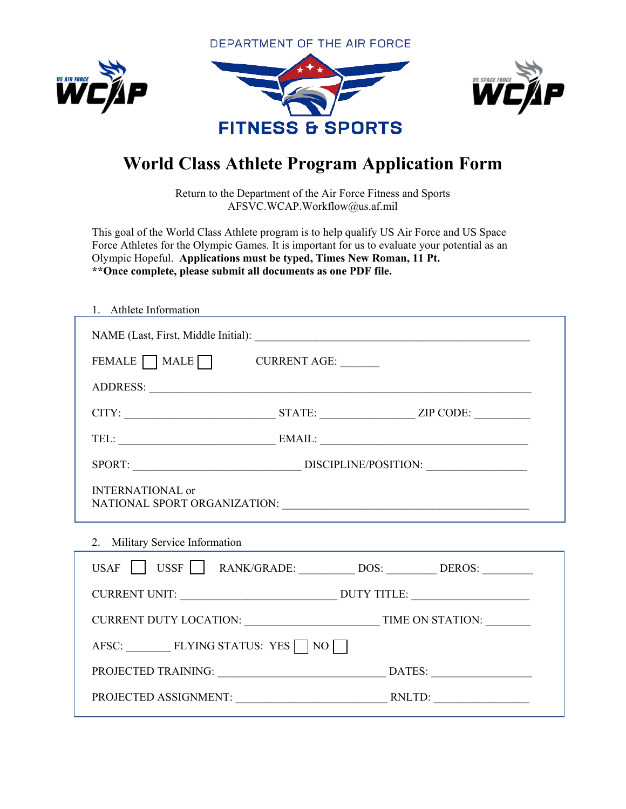DEPARTMENT OF THE AIR FORCE







# **World Class Athlete Program Application Form**

Return to the Department of the Air Force Fitness and Sports AFSVC.WCAP.Workflow@us.af.mil

This goal of the World Class Athlete program is to help qualify US Air Force and US Space Force Athletes for the Olympic Games. It is important for us to evaluate your potential as an Olympic Hopeful. **Applications must be typed, Times New Roman, 11 Pt. \*\*Once complete, please submit all documents as one PDF file.** 

| 1. Athlete Information                      |  |  |  |  |  |
|---------------------------------------------|--|--|--|--|--|
|                                             |  |  |  |  |  |
| FEMALE MALE CURRENT AGE:                    |  |  |  |  |  |
|                                             |  |  |  |  |  |
| $CITY:$ $ZIP\ CODE:$ $ZIP\ CODE:$           |  |  |  |  |  |
|                                             |  |  |  |  |  |
|                                             |  |  |  |  |  |
| <b>INTERNATIONAL</b> or                     |  |  |  |  |  |
| 2. Military Service Information             |  |  |  |  |  |
| USAF USSF   RANK/GRADE: DOS: DEROS: _______ |  |  |  |  |  |
|                                             |  |  |  |  |  |
|                                             |  |  |  |  |  |
| AFSC: FLYING STATUS: YES $\Box$ NO          |  |  |  |  |  |
|                                             |  |  |  |  |  |
|                                             |  |  |  |  |  |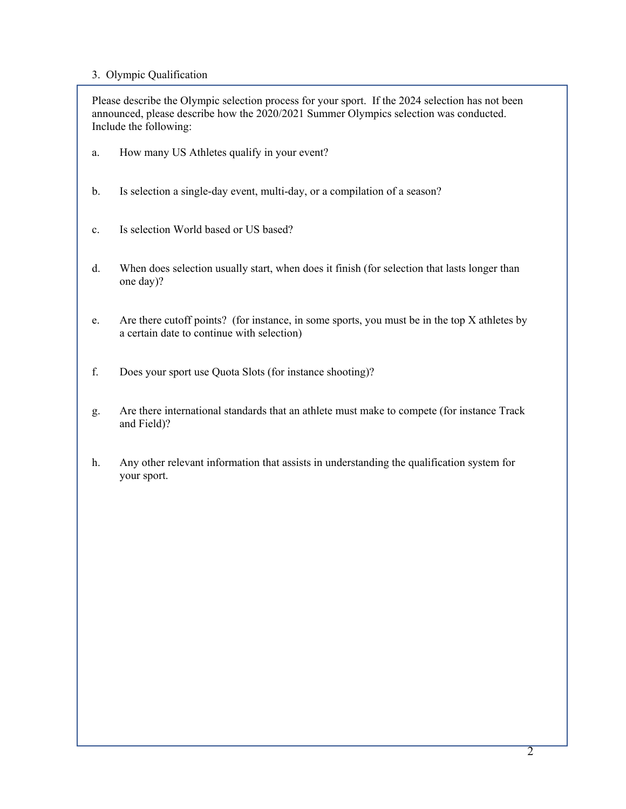#### 3. Olympic Qualification

Please describe the Olympic selection process for your sport. If the 2024 selection has not been announced, please describe how the 2020/2021 Summer Olympics selection was conducted. Include the following:

- a. How many US Athletes qualify in your event?
- b. Is selection a single-day event, multi-day, or a compilation of a season?
- c. Is selection World based or US based?
- d. When does selection usually start, when does it finish (for selection that lasts longer than one day)?
- e. Are there cutoff points? (for instance, in some sports, you must be in the top X athletes by a certain date to continue with selection)
- f. Does your sport use Quota Slots (for instance shooting)?
- g. Are there international standards that an athlete must make to compete (for instance Track and Field)?
- h. Any other relevant information that assists in understanding the qualification system for your sport.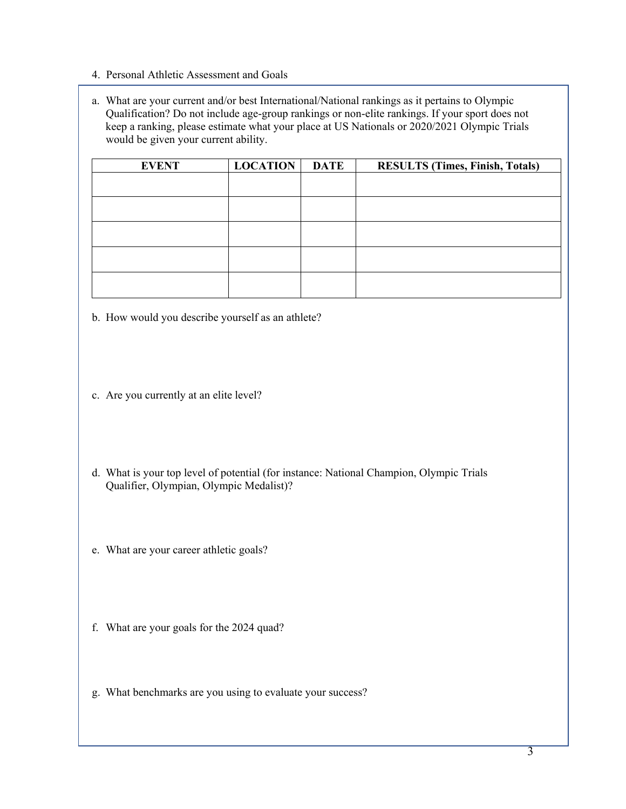- 4. Personal Athletic Assessment and Goals
- a. What are your current and/or best International/National rankings as it pertains to Olympic Qualification? Do not include age-group rankings or non-elite rankings. If your sport does not keep a ranking, please estimate what your place at US Nationals or 2020/2021 Olympic Trials would be given your current ability.

| <b>EVENT</b> | <b>LOCATION</b> | <b>DATE</b> | <b>RESULTS (Times, Finish, Totals)</b> |
|--------------|-----------------|-------------|----------------------------------------|
|              |                 |             |                                        |
|              |                 |             |                                        |
|              |                 |             |                                        |
|              |                 |             |                                        |
|              |                 |             |                                        |
|              |                 |             |                                        |
|              |                 |             |                                        |
|              |                 |             |                                        |

- b. How would you describe yourself as an athlete?
- c. Are you currently at an elite level?
- d. What is your top level of potential (for instance: National Champion, Olympic Trials Qualifier, Olympian, Olympic Medalist)?
- e. What are your career athletic goals?
- f. What are your goals for the 2024 quad?
- g. What benchmarks are you using to evaluate your success?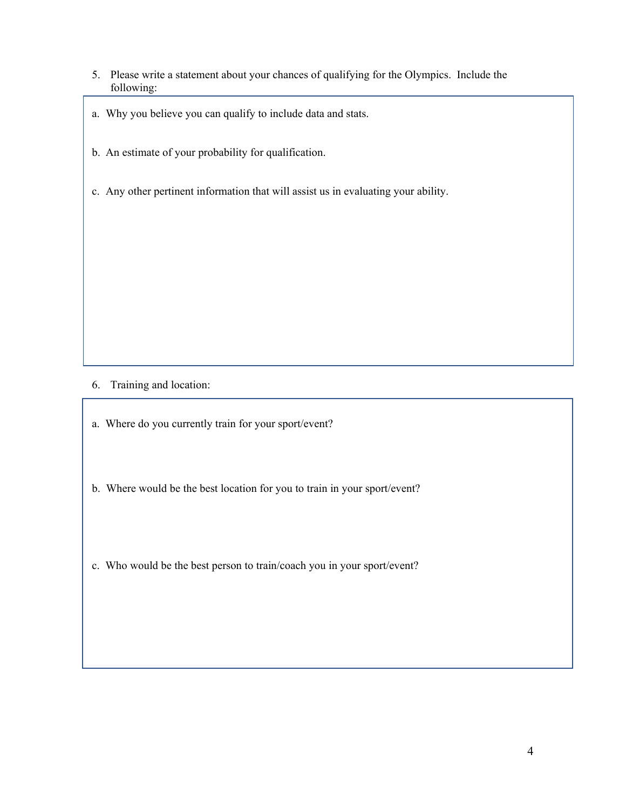- 5. Please write a statement about your chances of qualifying for the Olympics. Include the following:
- a. Why you believe you can qualify to include data and stats.
- b. An estimate of your probability for qualification.
- c. Any other pertinent information that will assist us in evaluating your ability.

- 6. Training and location:
- a. Where do you currently train for your sport/event?
- b. Where would be the best location for you to train in your sport/event?
- c. Who would be the best person to train/coach you in your sport/event?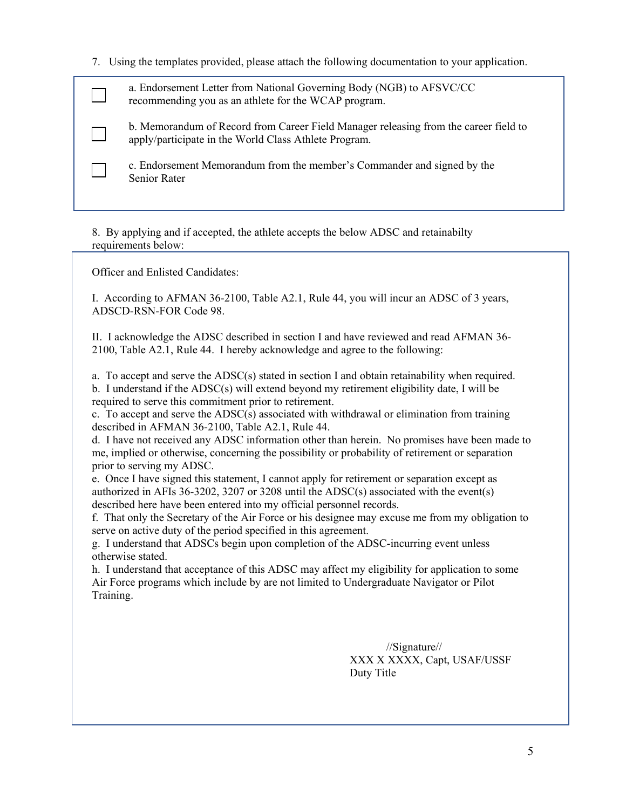7. Using the templates provided, please attach the following documentation to your application.

a. Endorsement Letter from National Governing Body (NGB) to AFSVC/CC recommending you as an athlete for the WCAP program.

b. Memorandum of Record from Career Field Manager releasing from the career field to apply/participate in the World Class Athlete Program.

c. Endorsement Memorandum from the member's Commander and signed by the Senior Rater

8. By applying and if accepted, the athlete accepts the below ADSC and retainabilty requirements below:

Officer and Enlisted Candidates:

I. According to AFMAN 36-2100, Table A2.1, Rule 44, you will incur an ADSC of 3 years, ADSCD-RSN-FOR Code 98.

II. I acknowledge the ADSC described in section I and have reviewed and read AFMAN 36- 2100, Table A2.1, Rule 44. I hereby acknowledge and agree to the following:

a. To accept and serve the ADSC(s) stated in section I and obtain retainability when required. b. I understand if the ADSC(s) will extend beyond my retirement eligibility date, I will be required to serve this commitment prior to retirement.

c. To accept and serve the ADSC(s) associated with withdrawal or elimination from training described in AFMAN 36-2100, Table A2.1, Rule 44.

d. I have not received any ADSC information other than herein. No promises have been made to me, implied or otherwise, concerning the possibility or probability of retirement or separation prior to serving my ADSC.

e. Once I have signed this statement, I cannot apply for retirement or separation except as authorized in AFIs 36-3202, 3207 or 3208 until the ADSC(s) associated with the event(s) described here have been entered into my official personnel records.

f. That only the Secretary of the Air Force or his designee may excuse me from my obligation to serve on active duty of the period specified in this agreement.

g. I understand that ADSCs begin upon completion of the ADSC-incurring event unless otherwise stated.

h. I understand that acceptance of this ADSC may affect my eligibility for application to some Air Force programs which include by are not limited to Undergraduate Navigator or Pilot Training.

> //Signature// XXX X XXXX, Capt, USAF/USSF Duty Title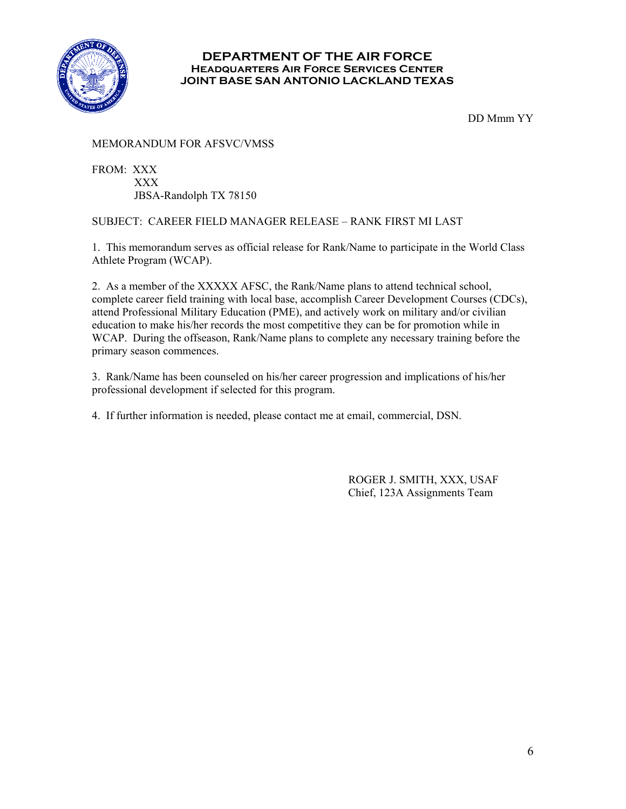

#### **DEPARTMENT OF THE AIR FORCE Headquarters Air Force Services Center JOINT BASE SAN ANTONIO LACKLAND TEXAS**

DD Mmm YY

#### MEMORANDUM FOR AFSVC/VMSS

FROM: XXX XXX JBSA-Randolph TX 78150

#### SUBJECT: CAREER FIELD MANAGER RELEASE – RANK FIRST MI LAST

1. This memorandum serves as official release for Rank/Name to participate in the World Class Athlete Program (WCAP).

2. As a member of the XXXXX AFSC, the Rank/Name plans to attend technical school, complete career field training with local base, accomplish Career Development Courses (CDCs), attend Professional Military Education (PME), and actively work on military and/or civilian education to make his/her records the most competitive they can be for promotion while in WCAP. During the offseason, Rank/Name plans to complete any necessary training before the primary season commences.

3. Rank/Name has been counseled on his/her career progression and implications of his/her professional development if selected for this program.

4. If further information is needed, please contact me at email, commercial, DSN.

 ROGER J. SMITH, XXX, USAF Chief, 123A Assignments Team